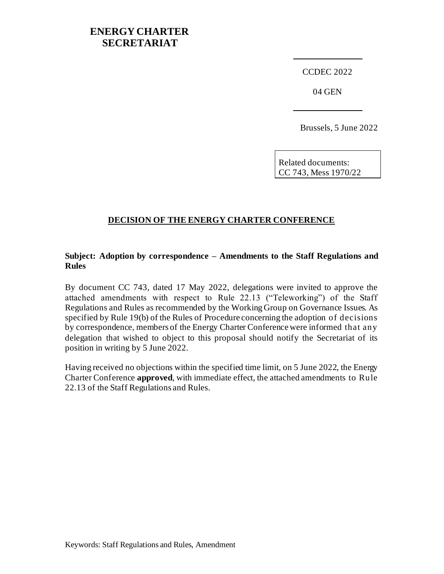## **ENERGY CHARTER SECRETARIAT**

CCDEC 2022

04 GEN

Brussels, 5 June 2022

Related documents: CC 743, Mess 1970/22

### **DECISION OF THE ENERGY CHARTER CONFERENCE**

#### **Subject: Adoption by correspondence – Amendments to the Staff Regulations and Rules**

By document CC 743, dated 17 May 2022, delegations were invited to approve the attached amendments with respect to Rule 22.13 ("Teleworking") of the Staff Regulations and Rules as recommended by the Working Group on Governance Issues. As specified by Rule 19(b) of the Rules of Procedure concerning the adoption of decisions by correspondence, members of the Energy Charter Conference were informed that any delegation that wished to object to this proposal should notify the Secretariat of its position in writing by 5 June 2022.

Having received no objections within the specified time limit, on 5 June 2022, the Energy Charter Conference **approved**, with immediate effect, the attached amendments to Rule 22.13 of the Staff Regulations and Rules.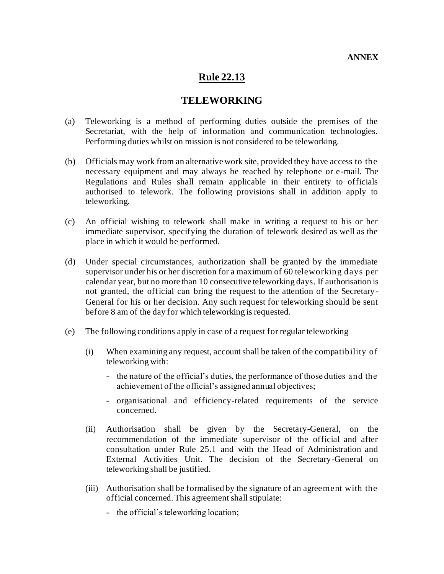# **Rule 22.13**

### **TELEWORKING**

- (a) Teleworking is a method of performing duties outside the premises of the Secretariat, with the help of information and communication technologies. Performing duties whilst on mission is not considered to be teleworking.
- (b) Officials may work from an alternative work site, provided they have access to the necessary equipment and may always be reached by telephone or e -mail. The Regulations and Rules shall remain applicable in their entirety to officials authorised to telework. The following provisions shall in addition apply to teleworking.
- (c) An official wishing to telework shall make in writing a request to his or her immediate supervisor, specifying the duration of telework desired as well as the place in which it would be performed.
- (d) Under special circumstances, authorization shall be granted by the immediate supervisor under his or her discretion for a maximum of 60 teleworking days per calendar year, but no more than 10 consecutive teleworking days. If authorisation is not granted, the official can bring the request to the attention of the Secretary - General for his or her decision. Any such request for teleworking should be sent before 8 am of the day for which teleworking is requested.
- (e) The following conditions apply in case of a request for regular teleworking
	- (i) When examining any request, account shall be taken of the compatibility of teleworking with:
		- the nature of the official's duties, the performance of those duties and the achievement of the official's assigned annual objectives;
		- organisational and efficiency-related requirements of the service concerned.
	- (ii) Authorisation shall be given by the Secretary-General, on the recommendation of the immediate supervisor of the official and after consultation under Rule 25.1 and with the Head of Administration and External Activities Unit. The decision of the Secretary-General on teleworking shall be justified.
	- (iii) Authorisation shall be formalised by the signature of an agreement with the official concerned. This agreement shall stipulate:
		- the official's teleworking location;